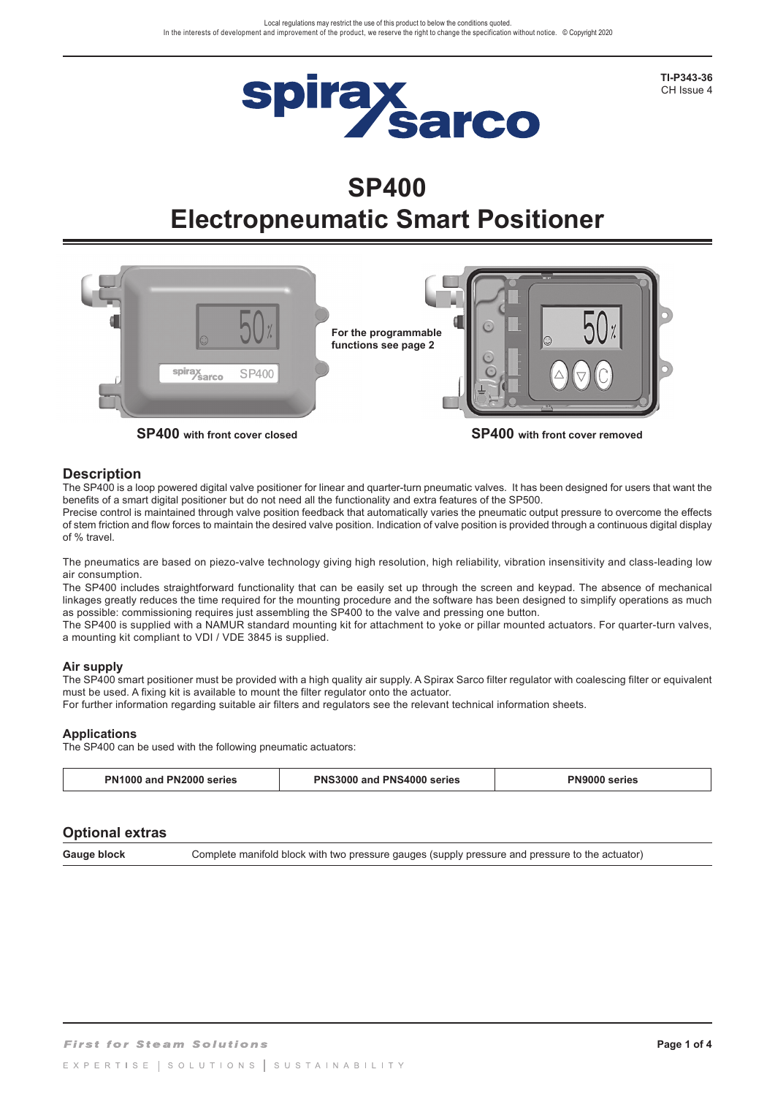

**TI-P343-36**  CH Issue 4

# **SP400 Electropneumatic Smart Positioner**



### **Description**

The SP400 is a loop powered digital valve positioner for linear and quarter-turn pneumatic valves. It has been designed for users that want the benefits of a smart digital positioner but do not need all the functionality and extra features of the SP500.

Precise control is maintained through valve position feedback that automatically varies the pneumatic output pressure to overcome the effects of stem friction and flow forces to maintain the desired valve position. Indication of valve position is provided through a continuous digital display of % travel.

The pneumatics are based on piezo-valve technology giving high resolution, high reliability, vibration insensitivity and class-leading low air consumption.

The SP400 includes straightforward functionality that can be easily set up through the screen and keypad. The absence of mechanical linkages greatly reduces the time required for the mounting procedure and the software has been designed to simplify operations as much as possible: commissioning requires just assembling the SP400 to the valve and pressing one button.

The SP400 is supplied with a NAMUR standard mounting kit for attachment to yoke or pillar mounted actuators. For quarter-turn valves, a mounting kit compliant to VDI / VDE 3845 is supplied.

### **Air supply**

The SP400 smart positioner must be provided with a high quality air supply. A Spirax Sarco filter regulator with coalescing filter or equivalent must be used. A fixing kit is available to mount the filter regulator onto the actuator.

For further information regarding suitable air filters and regulators see the relevant technical information sheets.

### **Applications**

The SP400 can be used with the following pneumatic actuators:

| <b>PN1000 and</b><br>. PN'<br>2000<br>series | <b>PNS3000</b><br>I PNS4000<br>and<br>series | eries |
|----------------------------------------------|----------------------------------------------|-------|
|                                              |                                              |       |

### **Optional extras**

Gauge block Complete manifold block with two pressure gauges (supply pressure and pressure to the actuator)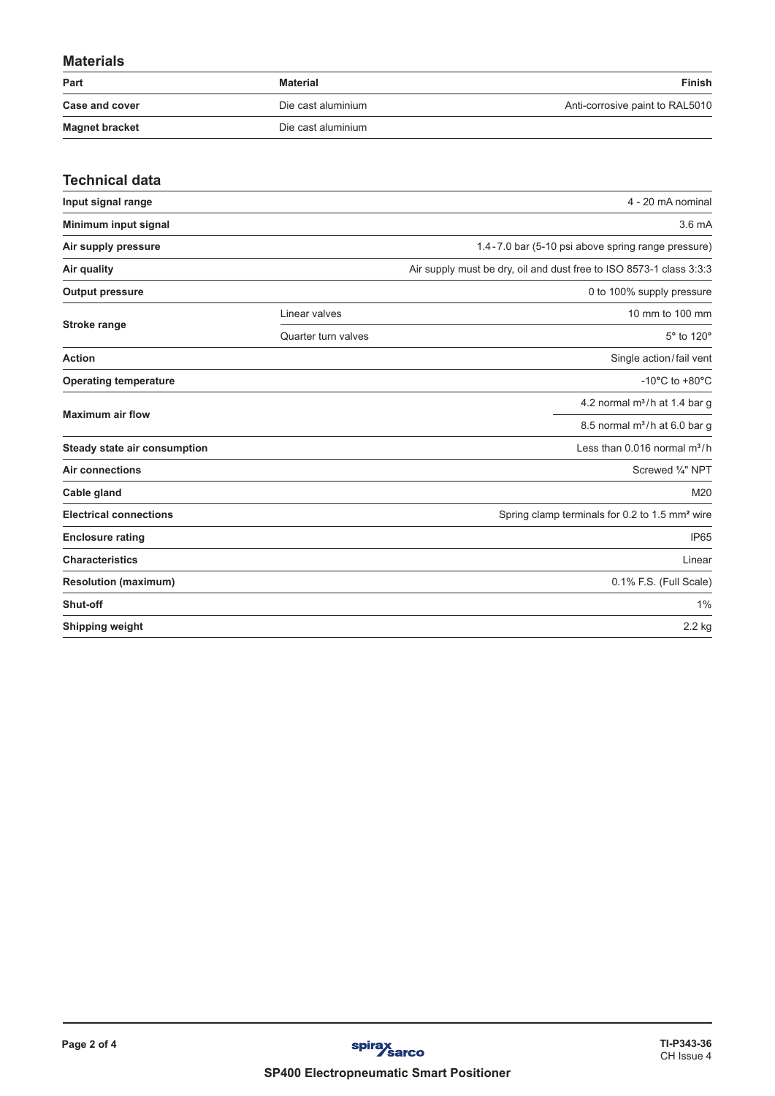# **Materials**

| Part                  | Material           | Finish                          |
|-----------------------|--------------------|---------------------------------|
| <b>Case and cover</b> | Die cast aluminium | Anti-corrosive paint to RAL5010 |
| <b>Magnet bracket</b> | Die cast aluminium |                                 |

| <b>Technical data</b>         |                     |                                                                     |
|-------------------------------|---------------------|---------------------------------------------------------------------|
| Input signal range            |                     | 4 - 20 mA nominal                                                   |
| Minimum input signal          |                     | 3.6 <sub>mA</sub>                                                   |
| Air supply pressure           |                     | 1.4-7.0 bar (5-10 psi above spring range pressure)                  |
| Air quality                   |                     | Air supply must be dry, oil and dust free to ISO 8573-1 class 3:3:3 |
| <b>Output pressure</b>        |                     | 0 to 100% supply pressure                                           |
|                               | Linear valves       | 10 mm to 100 mm                                                     |
| <b>Stroke range</b>           | Quarter turn valves | 5° to 120°                                                          |
| <b>Action</b>                 |                     | Single action/fail vent                                             |
| <b>Operating temperature</b>  |                     | -10 $^{\circ}$ C to +80 $^{\circ}$ C                                |
| <b>Maximum air flow</b>       |                     | 4.2 normal $m^3/h$ at 1.4 bar g                                     |
|                               |                     | 8.5 normal $m^3/h$ at 6.0 bar g                                     |
| Steady state air consumption  |                     | Less than $0.016$ normal $m^3/h$                                    |
| Air connections               |                     | Screwed 1/4" NPT                                                    |
| Cable gland                   |                     | M20                                                                 |
| <b>Electrical connections</b> |                     | Spring clamp terminals for 0.2 to 1.5 mm <sup>2</sup> wire          |
| <b>Enclosure rating</b>       |                     | <b>IP65</b>                                                         |
| <b>Characteristics</b>        |                     | Linear                                                              |
| <b>Resolution (maximum)</b>   |                     | 0.1% F.S. (Full Scale)                                              |
| Shut-off                      |                     | 1%                                                                  |
| <b>Shipping weight</b>        |                     | 2.2 kg                                                              |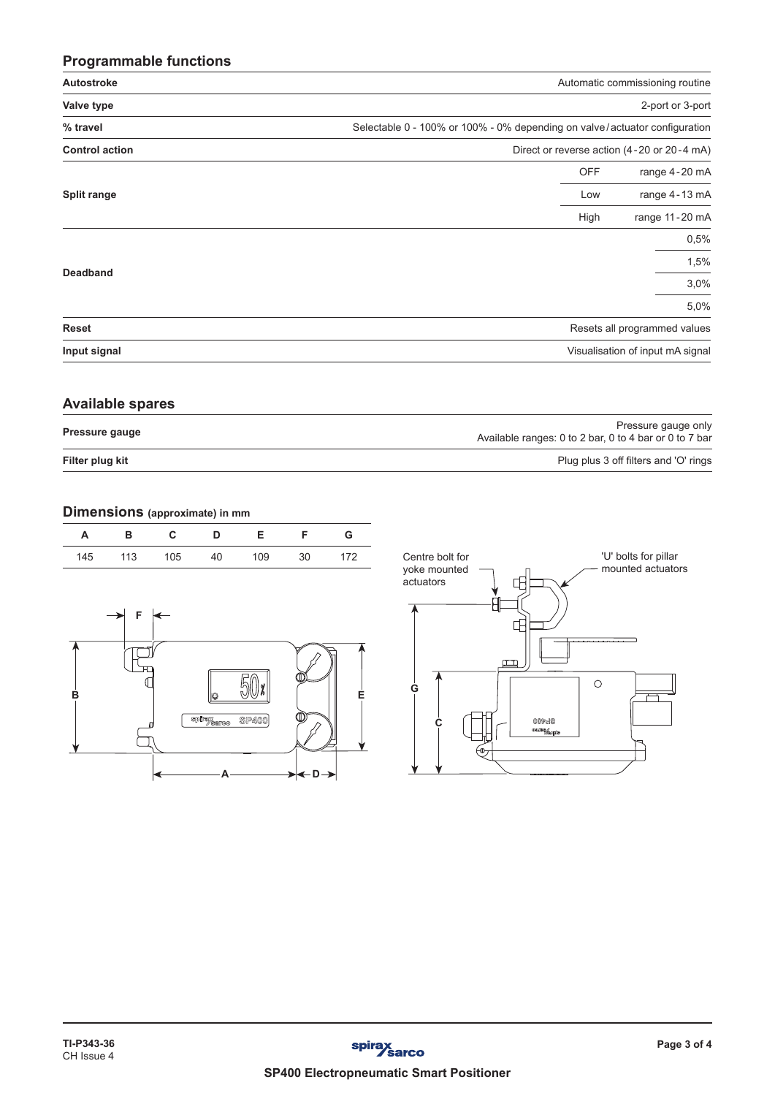# **Programmable functions**

| Autostroke            | Automatic commissioning routine                                            |                  |  |
|-----------------------|----------------------------------------------------------------------------|------------------|--|
| Valve type            |                                                                            | 2-port or 3-port |  |
| % travel              | Selectable 0 - 100% or 100% - 0% depending on valve/actuator configuration |                  |  |
| <b>Control action</b> | Direct or reverse action (4-20 or 20-4 mA)                                 |                  |  |
|                       | <b>OFF</b>                                                                 | range 4-20 mA    |  |
| Split range           | Low                                                                        | range 4-13 mA    |  |
|                       | High                                                                       | range 11-20 mA   |  |
|                       |                                                                            | 0,5%             |  |
|                       |                                                                            | 1,5%             |  |
| <b>Deadband</b>       |                                                                            | 3,0%             |  |
|                       |                                                                            | 5,0%             |  |
| <b>Reset</b>          | Resets all programmed values                                               |                  |  |
| Input signal          | Visualisation of input mA signal                                           |                  |  |

### **Available spares**

| Filter plug kit | Plug plus 3 off filters and 'O' rings                                         |  |
|-----------------|-------------------------------------------------------------------------------|--|
| Pressure gauge  | Pressure gauge only<br>Available ranges: 0 to 2 bar, 0 to 4 bar or 0 to 7 bar |  |

## **Dimensions (approximate) in mm**

| Centre bolt for<br>volce meunted | 172 | חצ | 109 | 40 | 105 | 113 | 145 |
|----------------------------------|-----|----|-----|----|-----|-----|-----|